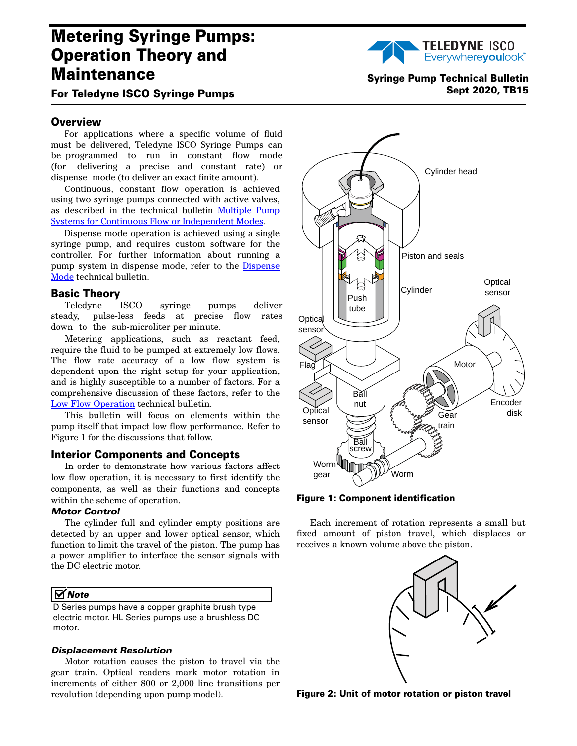# **Metering Syringe Pumps: Operation Theory and Maintenance**



## **For Teledyne I**SCO **Syringe Pumps**

## **Overview**

For applications where a specific volume of fluid must be delivered, Teledyne ISCO Syringe Pumps can be programmed to run in constant flow mode (for delivering a precise and constant rate) or dispense mode (to deliver an exact finite amount).

Continuous, constant flow operation is achieved using two syringe pumps connected with active valves, as described in the technical bulletin [Multiple Pump](http://www.isco.com/WebProductFiles/Applications/105/Technical_Bulletins/TB01_Dual%20Pump%20Systems.pdf) [Systems for Continuous Flow or Independent Modes.](http://www.isco.com/WebProductFiles/Applications/105/Technical_Bulletins/TB01_Dual%20Pump%20Systems.pdf)

Dispense mode operation is achieved using a single syringe pump, and requires custom software for the controller. For further information about running a pump system in dispense mode, refer to the [Dispense](http://www.isco.com/WebProductFiles/Applications/105/Technical_Bulletins/TB11_Dispense_Mode.pdf) [Mode](http://www.isco.com/WebProductFiles/Applications/105/Technical_Bulletins/TB11_Dispense_Mode.pdf) technical bulletin.

## **Basic Theory**

Teledyne ISCO syringe pumps deliver steady, pulse-less feeds at precise flow rates down to the sub-microliter per minute.

Metering applications, such as reactant feed, require the fluid to be pumped at extremely low flows. The flow rate accuracy of a low flow system is dependent upon the right setup for your application, and is highly susceptible to a number of factors. For a comprehensive discussion of these factors, refer to the [Low Flow Operation](http://www.isco.com/WebProductFiles/Applications/105/Technical_Bulletins/TB10_Low_Flow_Operation.pdf) technical bulletin.

This bulletin will focus on elements within the pump itself that impact low flow performance. Refer to Figure [1](#page-0-0) for the discussions that follow.

## **Interior Components and Concepts**

In order to demonstrate how various factors affect low flow operation, it is necessary to first identify the components, as well as their functions and concepts within the scheme of operation.

## *Motor Control*

The cylinder full and cylinder empty positions are detected by an upper and lower optical sensor, which function to limit the travel of the piston. The pump has a power amplifier to interface the sensor signals with the DC electric motor.

## *Note*

D Series pumps have a copper graphite brush type electric motor. HL Series pumps use a brushless DC motor.

#### *Displacement Resolution*

Motor rotation causes the piston to travel via the gear train. Optical readers mark motor rotation in increments of either 800 or 2,000 line transitions per revolution (depending upon pump model).





<span id="page-0-0"></span>**Figure 1: Component identification** 

Each increment of rotation represents a small but fixed amount of piston travel, which displaces or receives a known volume above the piston.



**Figure 2: Unit of motor rotation or piston travel**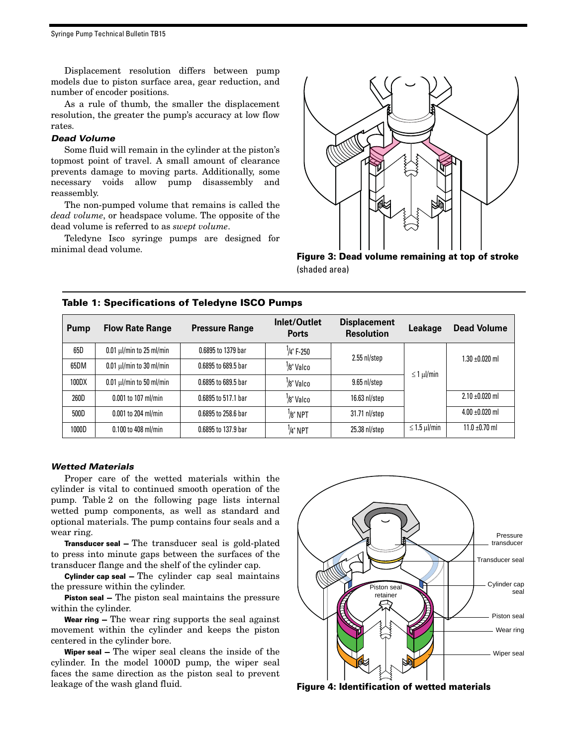Syringe Pump Technical Bulletin TB15

Displacement resolution differs between pump models due to piston surface area, gear reduction, and number of encoder positions.

As a rule of thumb, the smaller the displacement resolution, the greater the pump's accuracy at low flow rates.

#### *Dead Volume*

Some fluid will remain in the cylinder at the piston's topmost point of travel. A small amount of clearance prevents damage to moving parts. Additionally, some necessary voids allow pump disassembly and reassembly.

The non-pumped volume that remains is called the *dead volume*, or headspace volume. The opposite of the dead volume is referred to as *swept volume*.

Teledyne Isco syringe pumps are designed for minimal dead volume.



**Figure 3: Dead volume remaining at top of stroke**  (shaded area)

| Pump  | <b>Flow Rate Range</b>        | <b>Pressure Range</b> | Inlet/Outlet<br><b>Ports</b> | <b>Displacement</b><br><b>Resolution</b> | Leakage               | <b>Dead Volume</b>  |
|-------|-------------------------------|-----------------------|------------------------------|------------------------------------------|-----------------------|---------------------|
| 65D   | $0.01 \mu$ l/min to 25 ml/min | 0.6895 to 1379 bar    | $\frac{1}{4}$ " F-250        | $2.55$ nl/step                           |                       | 1.30 ±0.020 ml      |
| 65DM  | $0.01 \mu$ /min to 30 ml/min  | 0.6895 to 689.5 bar   | <sup>1</sup> /8" Valco       |                                          |                       |                     |
| 100DX | $0.01 \mu$ /min to 50 ml/min  | 0.6895 to 689.5 bar   | <sup>1</sup> /8" Valco       | 9.65 nl/step                             | $\leq 1$ µ $/min$     |                     |
| 260D  | $0.001$ to 107 ml/min         | 0.6895 to 517.1 bar   | <sup>1</sup> /8" Valco       | $16.63$ nl/step                          |                       | $2.10 \pm 0.020$ ml |
| 500D  | 0.001 to 204 ml/min           | 0.6895 to 258.6 bar   | $\frac{1}{8}$ " NPT          | 31.71 nl/step                            |                       | $4.00 \pm 0.020$ ml |
| 1000D | $0.100$ to $408$ ml/min       | 0.6895 to 137.9 bar   | <sup>1</sup> /4" NPT         | 25.38 nl/step                            | $\leq$ 1.5 $\mu$ /min | $11.0 \pm 0.70$ ml  |

## **Table 1: Specifications of** Teledyne **I**SCO **Pumps**

#### *Wetted Materials*

Proper care of the wetted materials within the cylinder is vital to continued smooth operation of the pump. Table 2 on the following page lists internal wetted pump components, as well as standard and optional materials. The pump contains four seals and a wear ring.

**Transducer seal —** The transducer seal is gold-plated to press into minute gaps between the surfaces of the transducer flange and the shelf of the cylinder cap.

**Cylinder cap seal —** The cylinder cap seal maintains the pressure within the cylinder.

**Piston seal —** The piston seal maintains the pressure within the cylinder.

**Wear ring —** The wear ring supports the seal against movement within the cylinder and keeps the piston centered in the cylinder bore.

**Wiper seal —** The wiper seal cleans the inside of the cylinder. In the model 1000D pump, the wiper seal faces the same direction as the piston seal to prevent leakage of the wash gland fluid. **Figure 4: Identification of wetted materials**